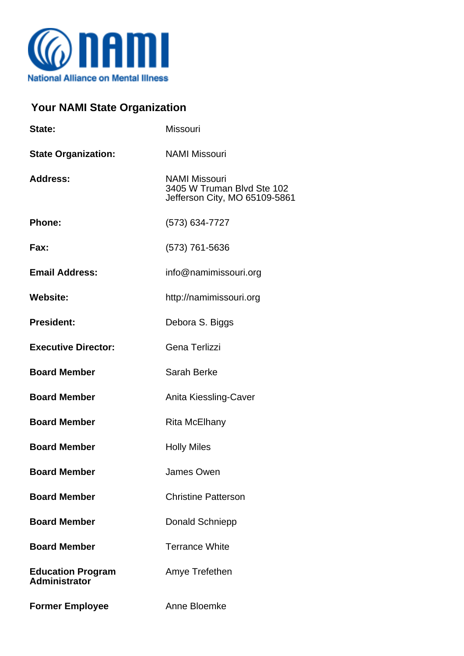

## **Your NAMI State Organization**

| State:                                           | Missouri                                                                            |
|--------------------------------------------------|-------------------------------------------------------------------------------------|
| <b>State Organization:</b>                       | <b>NAMI Missouri</b>                                                                |
| <b>Address:</b>                                  | <b>NAMI Missouri</b><br>3405 W Truman Blvd Ste 102<br>Jefferson City, MO 65109-5861 |
| <b>Phone:</b>                                    | (573) 634-7727                                                                      |
| Fax:                                             | (573) 761-5636                                                                      |
| <b>Email Address:</b>                            | info@namimissouri.org                                                               |
| <b>Website:</b>                                  | http://namimissouri.org                                                             |
| <b>President:</b>                                | Debora S. Biggs                                                                     |
| <b>Executive Director:</b>                       | Gena Terlizzi                                                                       |
| <b>Board Member</b>                              | Sarah Berke                                                                         |
| <b>Board Member</b>                              | Anita Kiessling-Caver                                                               |
| <b>Board Member</b>                              | Rita McElhany                                                                       |
| <b>Board Member</b>                              | <b>Holly Miles</b>                                                                  |
| <b>Board Member</b>                              | James Owen                                                                          |
| <b>Board Member</b>                              | <b>Christine Patterson</b>                                                          |
| <b>Board Member</b>                              | Donald Schniepp                                                                     |
| <b>Board Member</b>                              | <b>Terrance White</b>                                                               |
| <b>Education Program</b><br><b>Administrator</b> | Amye Trefethen                                                                      |
| <b>Former Employee</b>                           | Anne Bloemke                                                                        |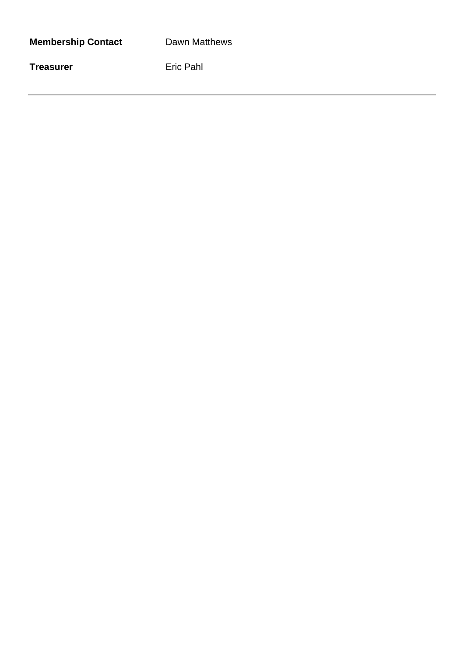| <b>Membership Contact</b> |
|---------------------------|
|---------------------------|

**Dawn Matthews** 

**Treasurer** Eric Pahl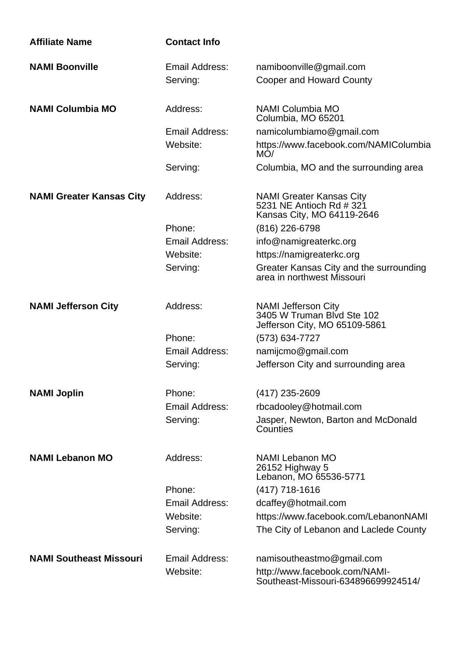| <b>Affiliate Name</b>           | <b>Contact Info</b> |                                                                                           |
|---------------------------------|---------------------|-------------------------------------------------------------------------------------------|
| <b>NAMI Boonville</b>           | Email Address:      | namiboonville@gmail.com                                                                   |
|                                 | Serving:            | <b>Cooper and Howard County</b>                                                           |
| <b>NAMI Columbia MO</b>         | Address:            | NAMI Columbia MO<br>Columbia, MO 65201                                                    |
|                                 | Email Address:      | namicolumbiamo@gmail.com                                                                  |
|                                 | Website:            | https://www.facebook.com/NAMIColumbia<br>MO/                                              |
|                                 | Serving:            | Columbia, MO and the surrounding area                                                     |
| <b>NAMI Greater Kansas City</b> | Address:            | <b>NAMI Greater Kansas City</b><br>5231 NE Antioch Rd # 321<br>Kansas City, MO 64119-2646 |
|                                 | Phone:              | (816) 226-6798                                                                            |
|                                 | Email Address:      | info@namigreaterkc.org                                                                    |
|                                 | Website:            | https://namigreaterkc.org                                                                 |
|                                 | Serving:            | Greater Kansas City and the surrounding<br>area in northwest Missouri                     |
| <b>NAMI Jefferson City</b>      | Address:            | <b>NAMI Jefferson City</b><br>3405 W Truman Blvd Ste 102<br>Jefferson City, MO 65109-5861 |
|                                 | Phone:              | (573) 634-7727                                                                            |
|                                 | Email Address:      | namijcmo@gmail.com                                                                        |
|                                 | Serving:            | Jefferson City and surrounding area                                                       |
| <b>NAMI Joplin</b>              | Phone:              | (417) 235-2609                                                                            |
|                                 | Email Address:      | rbcadooley@hotmail.com                                                                    |
|                                 | Serving:            | Jasper, Newton, Barton and McDonald<br>Counties                                           |
| <b>NAMI Lebanon MO</b>          | Address:            | NAMI Lebanon MO<br>26152 Highway 5<br>Lebanon, MO 65536-5771                              |
|                                 | Phone:              | $(417)$ 718-1616                                                                          |
|                                 | Email Address:      | dcaffey@hotmail.com                                                                       |
|                                 | Website:            | https://www.facebook.com/LebanonNAMI                                                      |
|                                 | Serving:            | The City of Lebanon and Laclede County                                                    |
| <b>NAMI Southeast Missouri</b>  | Email Address:      | namisoutheastmo@gmail.com                                                                 |
|                                 | Website:            | http://www.facebook.com/NAMI-<br>Southeast-Missouri-634896699924514/                      |